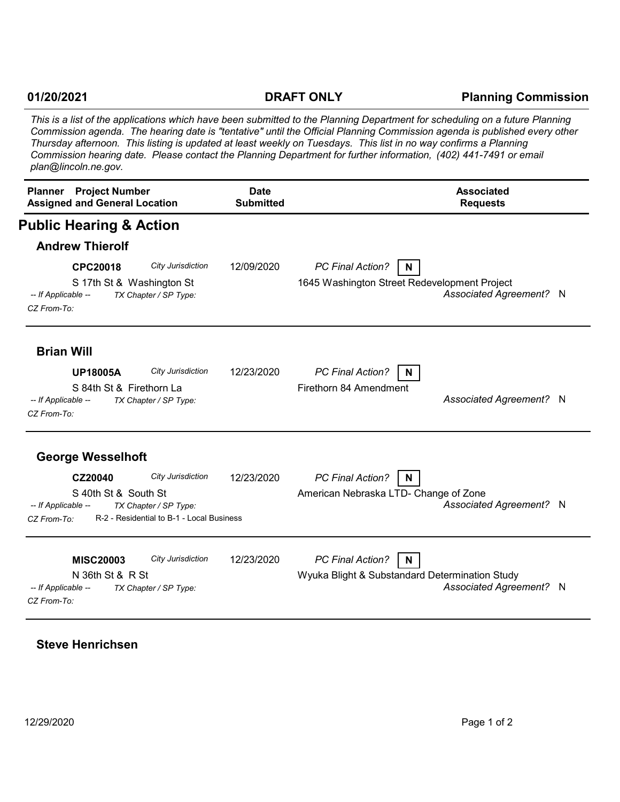## **01/20/2021**

## **DRAFT ONLY Planning Commission**

*This is a list of the applications which have been submitted to the Planning Department for scheduling on a future Planning Commission agenda. The hearing date is "tentative" until the Official Planning Commission agenda is published every other Thursday afternoon. This listing is updated at least weekly on Tuesdays. This list in no way confirms a Planning Commission hearing date. Please contact the Planning Department for further information, (402) 441-7491 or email plan@lincoln.ne.gov.*

| <b>Project Number</b><br><b>Planner</b><br><b>Assigned and General Location</b>                                                                                  | <b>Date</b><br><b>Submitted</b> | <b>Associated</b><br><b>Requests</b>                                                                    |
|------------------------------------------------------------------------------------------------------------------------------------------------------------------|---------------------------------|---------------------------------------------------------------------------------------------------------|
| <b>Public Hearing &amp; Action</b>                                                                                                                               |                                 |                                                                                                         |
| <b>Andrew Thierolf</b>                                                                                                                                           |                                 |                                                                                                         |
| CPC20018<br>City Jurisdiction<br>S 17th St & Washington St<br>-- If Applicable --<br>TX Chapter / SP Type:<br>CZ From-To:                                        | 12/09/2020                      | <b>PC Final Action?</b><br>N<br>1645 Washington Street Redevelopment Project<br>Associated Agreement? N |
| <b>Brian Will</b><br>City Jurisdiction<br><b>UP18005A</b>                                                                                                        | 12/23/2020                      | PC Final Action?<br>N.                                                                                  |
| S 84th St & Firethorn La<br>-- If Applicable --<br>TX Chapter / SP Type:<br>CZ From-To:                                                                          |                                 | Firethorn 84 Amendment<br>Associated Agreement? N                                                       |
| <b>George Wesselhoft</b>                                                                                                                                         |                                 |                                                                                                         |
| City Jurisdiction<br>CZ20040<br>S 40th St & South St<br>-- If Applicable --<br>TX Chapter / SP Type:<br>R-2 - Residential to B-1 - Local Business<br>CZ From-To: | 12/23/2020                      | PC Final Action?<br>N<br>American Nebraska LTD- Change of Zone<br>Associated Agreement? N               |
| City Jurisdiction<br><b>MISC20003</b><br>N 36th St & R St<br>-- If Applicable --<br>TX Chapter / SP Type:<br>CZ From-To:                                         | 12/23/2020                      | PC Final Action?<br>N<br>Wyuka Blight & Substandard Determination Study<br>Associated Agreement? N      |

**Steve Henrichsen**